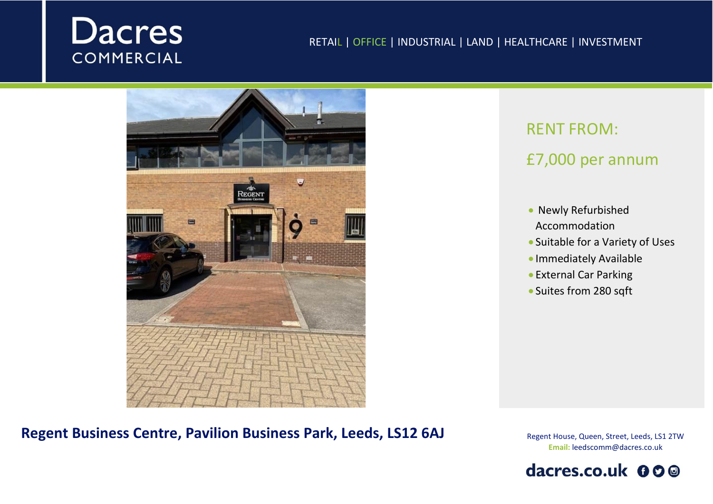# **Dacres COMMERCIAL**

#### RETAIL | OFFICE | INDUSTRIAL | LAND | HEALTHCARE | INVESTMENT



## RENT FROM:

## £7,000 per annum

- Newly Refurbished Accommodation
- Suitable for a Variety of Uses
- Immediately Available
- External Car Parking
- Suites from 280 sqft

**Regent Business Centre, Pavilion Business Park, Leeds, LS12 6AJ**

Regent House, Queen, Street, Leeds, LS1 2TW **Email:** leedscomm@dacres.co.uk